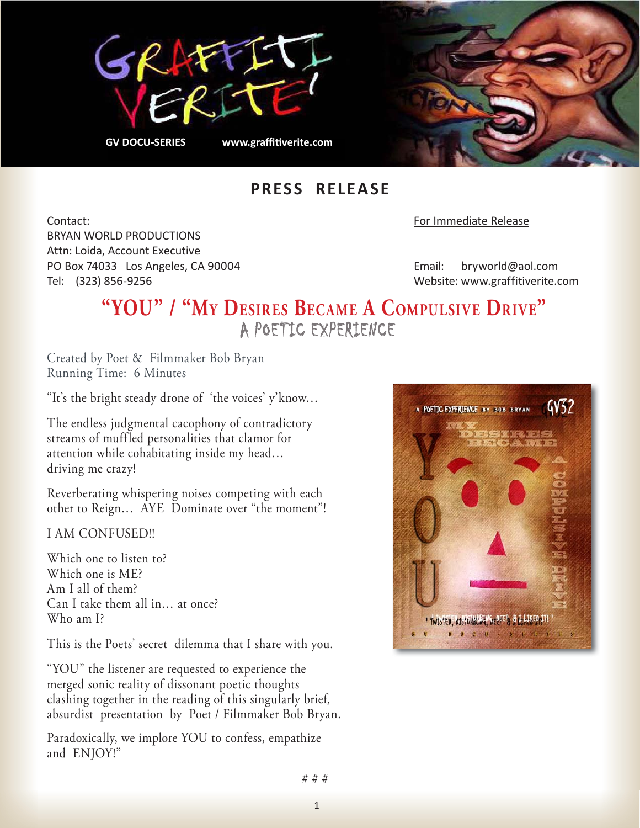



## **PRESS RELEASE**

Contact: For Immediate Release BRYAN WORLD PRODUCTIONS Attn: Loida, Account Executive PO Box 74033 Los Angeles, CA 90004 Email: bryworld@aol.com Tel: (323) 856-9256 Website: www.graffitiverite.com

## **"YOU" / "My Desires BecaMe a coMpulsive Drive"** A POETIC EXPERIENCE

Created by Poet & Filmmaker Bob Bryan Running Time: 6 Minutes

"It's the bright steady drone of 'the voices' y'know…

The endless judgmental cacophony of contradictory streams of muffled personalities that clamor for attention while cohabitating inside my head… driving me crazy!

Reverberating whispering noises competing with each other to Reign… AYE Dominate over "the moment"!

I AM CONFUSED!!

Which one to listen to? Which one is ME? Am I all of them? Can I take them all in… at once? Who am I?

This is the Poets' secret dilemma that I share with you.

"YOU" the listener are requested to experience the merged sonic reality of dissonant poetic thoughts clashing together in the reading of this singularly brief, absurdist presentation by Poet / Filmmaker Bob Bryan.

Paradoxically, we implore YOU to confess, empathize and ENJOY!"



# # #